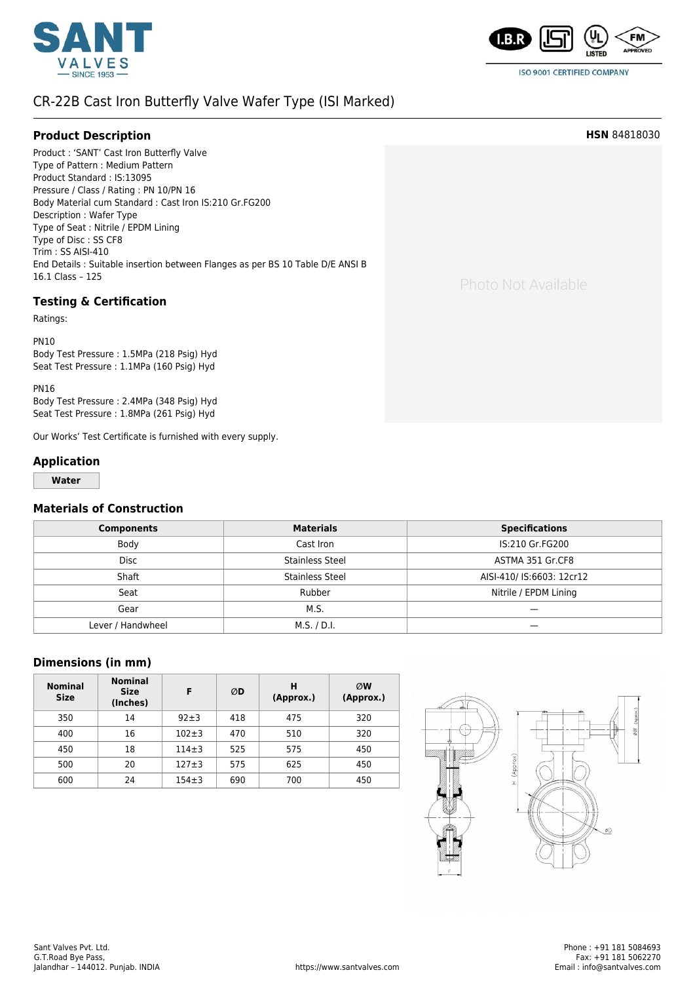



**ISO 9001 CERTIFIED COMPANY** 

## [CR-22B Cast Iron Butterfly Valve Wafer Type \(ISI Marked\)](https://www.santvalves.com/valves/cast-iron-butterfly-valve-4/)

| <b>Product Description</b>                                                                                                                                                                                                                                                                                                                                                                                                           | <b>HSN</b> 84818030 |
|--------------------------------------------------------------------------------------------------------------------------------------------------------------------------------------------------------------------------------------------------------------------------------------------------------------------------------------------------------------------------------------------------------------------------------------|---------------------|
| Product: 'SANT' Cast Iron Butterfly Valve<br>Type of Pattern: Medium Pattern<br>Product Standard: IS:13095<br>Pressure / Class / Rating : PN 10/PN 16<br>Body Material cum Standard : Cast Iron IS:210 Gr.FG200<br>Description: Wafer Type<br>Type of Seat: Nitrile / EPDM Lining<br>Type of Disc: SS CF8<br>Trim: SS AISI-410<br>End Details : Suitable insertion between Flanges as per BS 10 Table D/E ANSI B<br>16.1 Class - 125 | Photo Not Available |
| <b>Testing &amp; Certification</b><br>Ratings:                                                                                                                                                                                                                                                                                                                                                                                       |                     |
| <b>PN10</b><br>Body Test Pressure: 1.5MPa (218 Psig) Hyd<br>Seat Test Pressure: 1.1MPa (160 Psig) Hyd                                                                                                                                                                                                                                                                                                                                |                     |
| <b>PN16</b>                                                                                                                                                                                                                                                                                                                                                                                                                          |                     |

Body Test Pressure : 2.4MPa (348 Psig) Hyd Seat Test Pressure : 1.8MPa (261 Psig) Hyd

Our Works' Test Certificate is furnished with every supply.

## **Application**

**Water**

## **Materials of Construction**

| <b>Components</b> | <b>Materials</b>       | <b>Specifications</b>     |  |
|-------------------|------------------------|---------------------------|--|
| Body              | Cast Iron              | IS:210 Gr.FG200           |  |
| <b>Disc</b>       | <b>Stainless Steel</b> | ASTMA 351 Gr.CF8          |  |
| Shaft             | Stainless Steel        | AISI-410/ IS:6603: 12cr12 |  |
| Seat              | Rubber                 | Nitrile / EPDM Lining     |  |
| Gear              | M.S.                   |                           |  |
| Lever / Handwheel | M.S. / D.I.            |                           |  |

## **Dimensions (in mm)**

| <b>Nominal</b><br><b>Size</b> | <b>Nominal</b><br><b>Size</b><br>(Inches) | F           | ØD  | н<br>(Approx.) | ØW<br>(Approx.) |
|-------------------------------|-------------------------------------------|-------------|-----|----------------|-----------------|
| 350                           | 14                                        | $92+3$      | 418 | 475            | 320             |
| 400                           | 16                                        | $102 + 3$   | 470 | 510            | 320             |
| 450                           | 18                                        | $114 \pm 3$ | 525 | 575            | 450             |
| 500                           | 20                                        | $127 + 3$   | 575 | 625            | 450             |
| 600                           | 24                                        | $154 \pm 3$ | 690 | 700            | 450             |